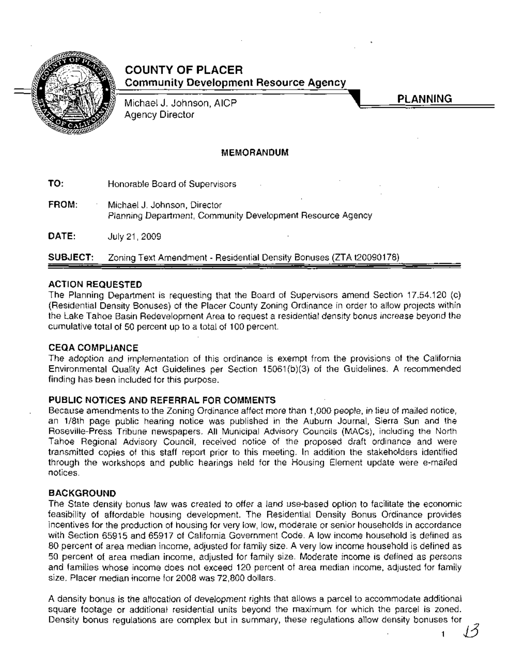

# **COUNTY OF PLACER Community Development Resource Agency**

Michael J. Johnson, AICP . Agency Director

# **MEMORANDUM**

**TO:** Honorable Board of Supervisors

**FROM:** Michael J. Johnson, Director Planning Department, Community Development Resource Agency

**DATE:** JUly 21,2009

**SUBJECT:** Zoning Text Amendment - Residential Density Bonuses (ZTA t20090178)

# **ACTION REQUESTED**

The Planning Department is requesting that the Board of Supervisors amend Section 17.54.120 (c) (Residential Density Bonuses) of the Placer County Zoning Ordinance in order to allow projects within the Lake Tahoe Basin Redevelopment Area to request a residential density bonus increase beyond the cumulative total of 50 percent up to a total of 100 percent.

# **CEQA COM PLIANCE**

The adoption and implementation of this ordinance is exempt from the provisions of the California Environmental Quality Act Guidelines per Section 15061 (b)(3) of the Guidelines. A recommended finding has been included for this purpose.

# **PUBLIC NOTICES AND** REFERRAL FOR **COMMENTS**

Because amendments to the Zoning Ordinance affect more than 1,000 people, in lieu of mailed notice, an 1/8th page public hearing notice was published in the Auburn· Journal, Sierra Sun and the Roseville-Press Tribune newspapers. All Municipal Advisory Councils (MACs), including the North Tahoe Regional Advisory Council, received notice of the proposed draft ordinance and were transmitted copies of this staff report prior to this meeting. In addition the stakeholders identified through the workshops and public hearings held for the Housing Element update were e-mailed notices.

# **BACKGROUND**

The State density bonus law was created to offer a land use-based option to facilitate the economic feasibility of affordable housing development. The Residential Density Bonus Ordinance provides incentives for the production of housing for very low, low, moderate or senior households in accordance with Section 65915 and 65917 of California Government Code. A low income household is defined as 80 percent of area median income, adjusted for family size. A very low income household is defined as 50 percent of, area median income, adjusted for family size. Moderate income is defined as persons and families whose income does not exceed 120 percent of area median income, adjusted for family size. Placer median income for 2008 was 72,800 dollars.

A density bonus is the allocation of development rights that allows a parcel to accommodate additional square footage or additional residential units beyond the maximum for which the parcel is zoned. Density bonus regulations are complex but in summary, these regulations allow density bonuses for  $\mathcal B$ 

PLANNING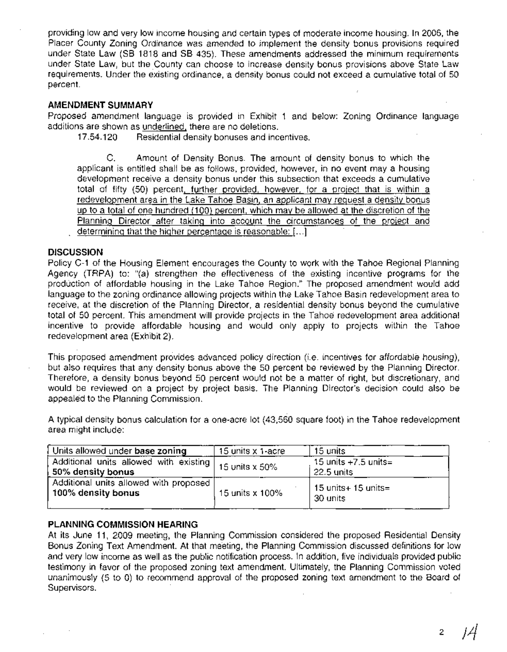providing low and very low income housing and certain types of moderate income housing. In 2006, the Placer County Zoning Ordinance Was amended to implement the density bonus provisions required under State Law (SB 1818 and SB 435). These amendments addressed the minimum requirements under State Law, but the County can choose to increase density bonus provisions above State Law requirements. Under the existing ordinance, a density bonus could not exceed a cumulative total of 50 percent.

#### AMENDMENT SUMMARY

Proposed amendment language is provided in Exhibit 1 and below: Zoning Ordinance language additions are shown as underlined, there are no deletions.

17.54.120 Residential density bonuses and incentives.

C. Amount of Density Bonus. The amount of density bonus to which the applicant is entitled shall be as follows, provided, however, in no event maya housing development receive a density bonus under this subsection that exceeds a cumulative total of fifty (50) percent, further provided. however, for a project that is within a redevelopment area in the Lake Tahoe Basin. an applicant may request a density bonus up to a total of one hundred (100) percent. which may be allowed at the discretion of the Planning Director after taking into account the circumstances of the project and determining that the higher percentage is reasonable: [...]

#### **DISCUSSION**

Policy C-1 of the Housing Element encourages the County to work with the Tahoe Regional Planning Agency (TRPA) to:  $\mathbb{I}(a)$  strengthen the effectiveness of the existing incentive programs for the production of affordable housing in the Lake Tahoe Region." The proposed amendment would add language to the zoning ordinance allowing projects within the Lake Tahoe Basin redevelopment area to receive, at the discretion of the Planning Director, a residential density bonus beyond the cumulative total of 50 percent. This amendment will provide projects in the Tahoe redevelopment area additional incentive to provide affordable housing and would only apply to projects within the Tahoe redevelopment area (Exhibit 2).

This proposed amendment provides advanced policy direction (i.e. incentives for affordable housing), but also requires that any density bonus above the 50 percent be reviewed by the Planning Director. Therefore, a density bonus beyond 50 percent would not be a matter of right, but discretionary, and would be reviewed on a project by project basis. The Planning Director's. decision could also be appealed to the Planning Commission.

A typical density bonus calculation for a one-acre lot (43,560 square foot) in the Tahoe redevelopment area might include:

| Units allowed under base zoning                                 | 15 units x 1-acre | 15 units                              |
|-----------------------------------------------------------------|-------------------|---------------------------------------|
| Additional units allowed with existing  <br>∣ 50% density bonus | 15 units x 50%    | 15 units $+7.5$ units=<br>-22.5 units |
| Additional units allowed with proposed<br>100% density bonus    | 15 units x 100%   | 15 units+ $15$ units=<br>30 units     |

#### **PLANNING COMMISSION HEARING**

At its June 11, 2009 meeting, the Planning Commission considered the proposed Residential Density Bonus Zoning Text Amendment. At that meeting, the Planning Commission discussed definitions for low and very low income as well as the public notification process. In addition, five individuals provided public testimony in favor of the proposed zoning text amendment. Ultimately, the Planning Commission voted unanimously (5 to 0) to recommend approval of the proposed zoning text amendment to the Board of Supervisors.

*<sup>2</sup>* J4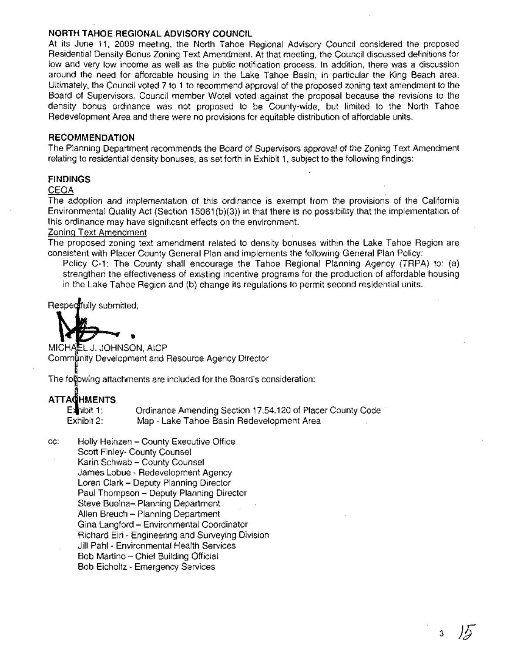### **NORTH TAHOE REGIONAL ADVISORY COUNCIL**

At its June 11, 2009 meeting, the North Tahoe Regional Advisory Council considered the proposed Residential Density Bonus Zoning Text Amendment. At that meeting, the Council discussed definitions for low and very low income as well as the public notification process. In addition, there was a discussion around the need for affordable housing in the Lake Tahoe Basin, in particular the King Beach area. Ultimately, the Council voted 7 t01 to recommend approval of the proposed zoning text amendment to the Board of Supervisors. Council member Wotel voted against the proposal because the revisions to the density bonus ordinance was not proposed to be County-wide, but limited to the North Tahoe Redevelopment Area and there were no provisions for equitable distribution of affordable units.

#### **RECOMMENDATION**

The Planning Department recommends the Board of Supervisors approval of the Zoning Text Amendment relating to residential density bonuses, as set forth in Exhibit 1, subject to the following findings:

### **FINDINGS**

#### CEQA

The adoption and implementation of this ordinance is exempt from the provisions of the California Environmental Quality Act (Section 15061 (b)(3)) in that there is no possibility that the implementation of this ordinance may have significant effects on the environment.

#### Zoning Text Amendment

The proposed zoning text amendment related to density bonuses within the Lake Tahoe Region are consistent with Placer County General Plan and implements the following General Plan Policy:

Policy C-1: The County shall encourage the Tahoe Regional Planning Agency (TRPA) to: (a) strengthen the effectiveness of existing incentive programs for the production of affordable housing in the Lake Tahoe Region and (b) change its regulations to permit second residential units.

Respectfully submitted.

MICHAEL J. JOHNSON, AICP. comminity Development and Resource Agency Director

The following attachments are included for the Board's consideration:

# **ATTA HMENTS**

| Exhibit 1; | Ordinance Amending Section 17.54.120 of Placer County Code |
|------------|------------------------------------------------------------|
| Exhibit 2: | Map - Lake Tahoe Basin Redevelopment Area                  |

cc:. Holly Heinzen - County Executive Office Scott Finley- County Counsel Karin Schwab - County Counsel James Lobue - Redevelopment Agency Loren Clark - Deputy Planning Director Paul Thompson - Deputy Planning Director Steve Buelna- Planning Department Allen Breuch - Planning Department Gina Langford - Environmental Coordinator Richard Eiri - Engineering and Surveying Division Jill Pahl - Environmental Health Services Bob Martino - Chief Building Official Bob Eicholtz - Emergency Services

<sup>3</sup> )5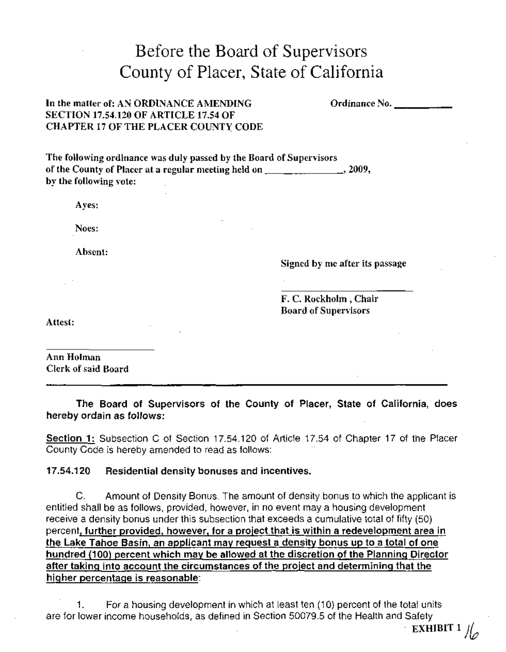| Before the Board of Supervisors<br>County of Placer, State of California                                                                                                            |                                                      |
|-------------------------------------------------------------------------------------------------------------------------------------------------------------------------------------|------------------------------------------------------|
| In the matter of: AN ORDINANCE AMENDING<br><b>SECTION 17.54.120 OF ARTICLE 17.54 OF</b><br><b>CHAPTER 17 OF THE PLACER COUNTY CODE</b>                                              | Ordinance No.                                        |
| The following ordinance was duly passed by the Board of Supervisors<br>of the County of Placer at a regular meeting held on ______________________, 2009,<br>by the following vote: |                                                      |
| Ayes:                                                                                                                                                                               |                                                      |
| Noes:                                                                                                                                                                               |                                                      |
| Absent:                                                                                                                                                                             | Signed by me after its passage                       |
| Attest:                                                                                                                                                                             | F. C. Rockholm, Chair<br><b>Board of Supervisors</b> |

Ann Holman Clerk of said Board

The Board of Supervisors of the County of Placer, State of California, does hereby ordain as follows:

Section 1: Subsection C of Section 17.54.120 of Article 17.54 of Chapter 17 of the Placer County Code is hereby amended to read as follows:

#### 17.54.120 Residential density bonuses and incentives.

C. Amount of Density Bonus. The amount of density bonus to which the applicant is entitled shall be as follows, provided, however, in no event maya housing development receive a density bonus under this subsection that exceeds a cumulative total of fifty (50) percent, further provided, however, for a project that is within a redevelopment area in the Lake Tahoe Basin, an applicant may request a density bonus up to a total of one hundred (100) percent which may be allowed at the discretion of the Planning Director after taking into account the circumstances of the project and determining that the higher percentage is reasonable:

1. For a housing development in which at least ten (10) percent of the total units are for lower income households, as defined in Section 50079.5 of the Health and Safety

EXHIBIT 1  $\frac{1}{2}$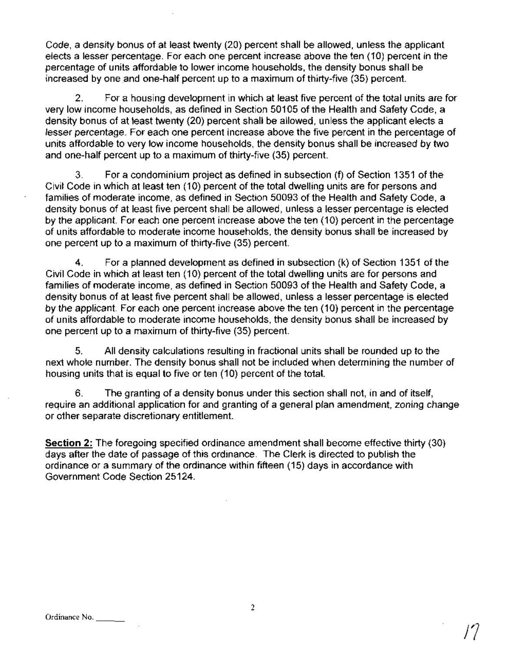Code, a density bonus of at least twenty (20) percent shall be allowed, unless the applicant elects a lesser percentage. For each one percent increase above the ten (10) percent in the percentage of units affordable to lower income households, the density bonus shall be increased by one and one-half percent up to a maximum of thirty-five (35) percent.

2. For a housing development in which at least five percent of the total units are for very low income households, as defined in Section 50105 of the Health and Safety Code, a density bonus of at least twenty (20) percent shall be allowed, unless the applicant elects a lesser percentage. For each one percent increase above the five percent in the percentage of units affordable to very low income households, the density bonus shall be increased by two and one-half percent up to a maximum of thirty-five (35) percent.

3. For a condominium project as defined in subsection (f) of Section 1351 of the Civil Code in which at least ten (10) percent of the total dwelling units are for persons and families of moderate income, as defined in Section 50093 of the Health and Safety Code, a density bonus of at least five percent shall be allowed, unless a lesser percentage is elected by the applicant. For each one percent increase above the ten (10) percent in the percentage of units affordable to moderate income households, the density bonus shall be increased by one percent up to a maximum of thirty-five (35) percent.

4. For a planned development as defined in subsection (k) of Section 1351 of the Civil Code in which at least ten (10) percent of the total dwelling units are for persons and families of moderate income, as defined in Section 50093 of the Health and Safety Code, a density bonus of at least five percent shall be allowed, unless a lesser percentage is elected by the applicant. For each one percent increase above the ten (10) percent in the percentage of units affordable to moderate income households, the density bonus shall be increased by one percent up to a maximum of thirty-five (35) percent.

5. All density calculations resulting in fractional units shall be rounded up to the next whole number. The density bonus shall not be included when determining the number of housing units that is equal to five or ten (10) percent of the total.

6. The granting of a density bonus under this section shall not, in and of itself, require an additional application for and granting of a general plan amendment, zoning change or other separate discretionary entitlement.

**Section 2:** The foregoing specified ordinance amendment shall become effective thirty (30) days after the date of passage of this ordinance. The Clerk is directed to publish the ordinance or a summary of the ordinance within fifteen (15) days in accordance with Government Code Section 25124.